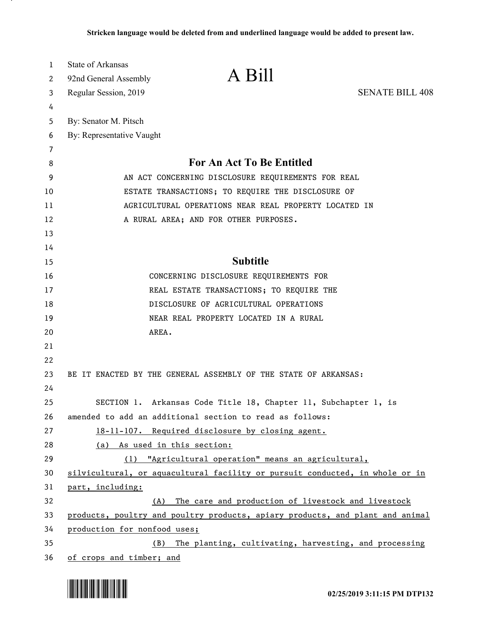| 1  | <b>State of Arkansas</b>                                                      |                                                       |
|----|-------------------------------------------------------------------------------|-------------------------------------------------------|
| 2  | A Bill<br>92nd General Assembly                                               |                                                       |
| 3  | Regular Session, 2019                                                         | <b>SENATE BILL 408</b>                                |
| 4  |                                                                               |                                                       |
| 5  | By: Senator M. Pitsch                                                         |                                                       |
| 6  | By: Representative Vaught                                                     |                                                       |
| 7  |                                                                               |                                                       |
| 8  | For An Act To Be Entitled                                                     |                                                       |
| 9  | AN ACT CONCERNING DISCLOSURE REQUIREMENTS FOR REAL                            |                                                       |
| 10 | ESTATE TRANSACTIONS; TO REQUIRE THE DISCLOSURE OF                             |                                                       |
| 11 | AGRICULTURAL OPERATIONS NEAR REAL PROPERTY LOCATED IN                         |                                                       |
| 12 | A RURAL AREA; AND FOR OTHER PURPOSES.                                         |                                                       |
| 13 |                                                                               |                                                       |
| 14 |                                                                               |                                                       |
| 15 | <b>Subtitle</b>                                                               |                                                       |
| 16 | CONCERNING DISCLOSURE REQUIREMENTS FOR                                        |                                                       |
| 17 | REAL ESTATE TRANSACTIONS; TO REQUIRE THE                                      |                                                       |
| 18 | DISCLOSURE OF AGRICULTURAL OPERATIONS                                         |                                                       |
| 19 | NEAR REAL PROPERTY LOCATED IN A RURAL                                         |                                                       |
| 20 | AREA.                                                                         |                                                       |
| 21 |                                                                               |                                                       |
| 22 |                                                                               |                                                       |
| 23 | BE IT ENACTED BY THE GENERAL ASSEMBLY OF THE STATE OF ARKANSAS:               |                                                       |
| 24 |                                                                               |                                                       |
| 25 | SECTION 1. Arkansas Code Title 18, Chapter 11, Subchapter 1, is               |                                                       |
| 26 | amended to add an additional section to read as follows:                      |                                                       |
| 27 | 18-11-107. Required disclosure by closing agent.                              |                                                       |
| 28 | As used in this section:<br>(a)                                               |                                                       |
| 29 | (1) "Agricultural operation" means an agricultural,                           |                                                       |
| 30 | silvicultural, or aquacultural facility or pursuit conducted, in whole or in  |                                                       |
| 31 | part, including:                                                              |                                                       |
| 32 | (A)                                                                           | The care and production of livestock and livestock    |
| 33 | products, poultry and poultry products, apiary products, and plant and animal |                                                       |
| 34 | production for nonfood uses;                                                  |                                                       |
| 35 | (B)                                                                           | The planting, cultivating, harvesting, and processing |
| 36 | of crops and timber; and                                                      |                                                       |